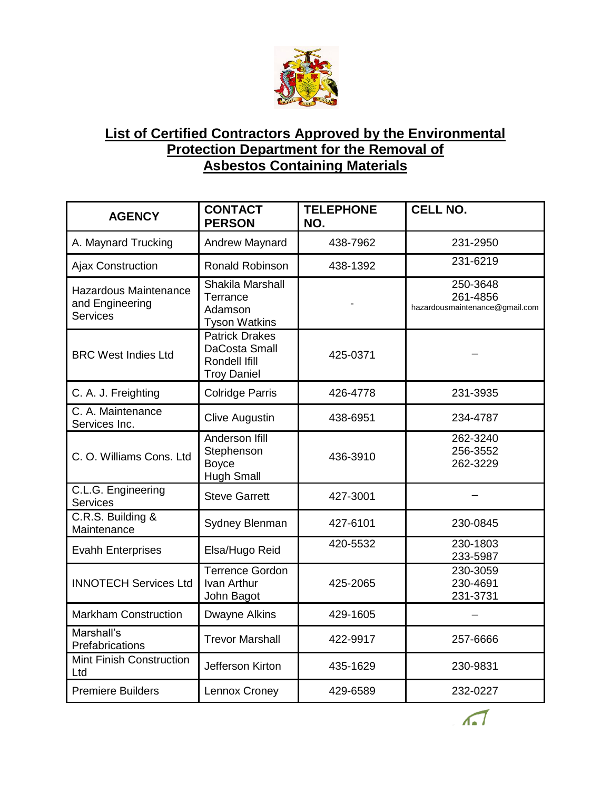

## **List of Certified Contractors Approved by the Environmental Protection Department for the Removal of Asbestos Containing Materials**

| <b>AGENCY</b>                                                      | <b>CONTACT</b><br><b>PERSON</b>                                               | <b>TELEPHONE</b><br>NO. | <b>CELL NO.</b>                                        |
|--------------------------------------------------------------------|-------------------------------------------------------------------------------|-------------------------|--------------------------------------------------------|
| A. Maynard Trucking                                                | <b>Andrew Maynard</b>                                                         | 438-7962                | 231-2950                                               |
| <b>Ajax Construction</b>                                           | Ronald Robinson                                                               | 438-1392                | 231-6219                                               |
| <b>Hazardous Maintenance</b><br>and Engineering<br><b>Services</b> | Shakila Marshall<br>Terrance<br>Adamson<br><b>Tyson Watkins</b>               |                         | 250-3648<br>261-4856<br>hazardousmaintenance@gmail.com |
| <b>BRC West Indies Ltd</b>                                         | <b>Patrick Drakes</b><br>DaCosta Small<br>Rondell Ifill<br><b>Troy Daniel</b> | 425-0371                |                                                        |
| C. A. J. Freighting                                                | <b>Colridge Parris</b>                                                        | 426-4778                | 231-3935                                               |
| C. A. Maintenance<br>Services Inc.                                 | <b>Clive Augustin</b>                                                         | 438-6951                | 234-4787                                               |
| C. O. Williams Cons. Ltd                                           | Anderson Ifill<br>Stephenson<br><b>Boyce</b><br><b>Hugh Small</b>             | 436-3910                | 262-3240<br>256-3552<br>262-3229                       |
| C.L.G. Engineering<br><b>Services</b>                              | <b>Steve Garrett</b>                                                          | 427-3001                |                                                        |
| C.R.S. Building &<br>Maintenance                                   | Sydney Blenman                                                                | 427-6101                | 230-0845                                               |
| <b>Evahh Enterprises</b>                                           | Elsa/Hugo Reid                                                                | 420-5532                | 230-1803<br>233-5987                                   |
| <b>INNOTECH Services Ltd</b>                                       | Terrence Gordon<br>Ivan Arthur<br>John Bagot                                  | 425-2065                | 230-3059<br>230-4691<br>231-3731                       |
| <b>Markham Construction</b>                                        | Dwayne Alkins                                                                 | 429-1605                |                                                        |
| Marshall's<br>Prefabrications                                      | <b>Trevor Marshall</b>                                                        | 422-9917                | 257-6666                                               |
| Mint Finish Construction<br>Ltd                                    | Jefferson Kirton                                                              | 435-1629                | 230-9831                                               |
| <b>Premiere Builders</b>                                           | Lennox Croney                                                                 | 429-6589                | 232-0227                                               |

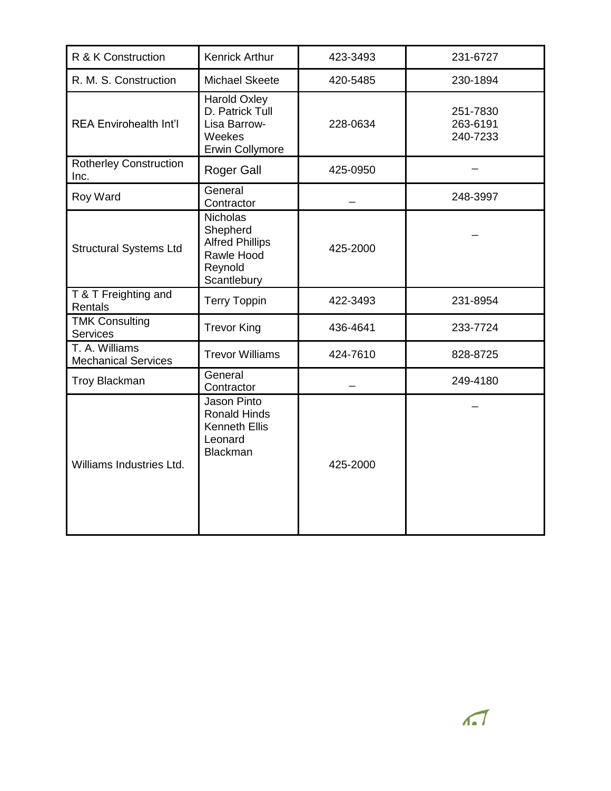| R & K Construction                           | <b>Kenrick Arthur</b>                                                                         | 423-3493 | 231-6727                         |
|----------------------------------------------|-----------------------------------------------------------------------------------------------|----------|----------------------------------|
| R. M. S. Construction                        | Michael Skeete                                                                                | 420-5485 | 230-1894                         |
| <b>REA Envirohealth Int'l</b>                | Harold Oxley<br>D. Patrick Tull<br>Lisa Barrow-<br>Weekes<br><b>Erwin Collymore</b>           | 228-0634 | 251-7830<br>263-6191<br>240-7233 |
| <b>Rotherley Construction</b><br>Inc.        | <b>Roger Gall</b>                                                                             | 425-0950 |                                  |
| Roy Ward                                     | General<br>Contractor                                                                         |          | 248-3997                         |
| <b>Structural Systems Ltd</b>                | <b>Nicholas</b><br>Shepherd<br><b>Alfred Phillips</b><br>Rawle Hood<br>Reynold<br>Scantlebury | 425-2000 |                                  |
| T & T Freighting and<br>Rentals              | <b>Terry Toppin</b>                                                                           | 422-3493 | 231-8954                         |
| <b>TMK Consulting</b><br><b>Services</b>     | <b>Trevor King</b>                                                                            | 436-4641 | 233-7724                         |
| T. A. Williams<br><b>Mechanical Services</b> | <b>Trevor Williams</b>                                                                        | 424-7610 | 828-8725                         |
| <b>Troy Blackman</b>                         | General<br>Contractor                                                                         |          | 249-4180                         |
| Williams Industries Ltd.                     | Jason Pinto<br><b>Ronald Hinds</b><br><b>Kenneth Ellis</b><br>Leonard<br><b>Blackman</b>      | 425-2000 |                                  |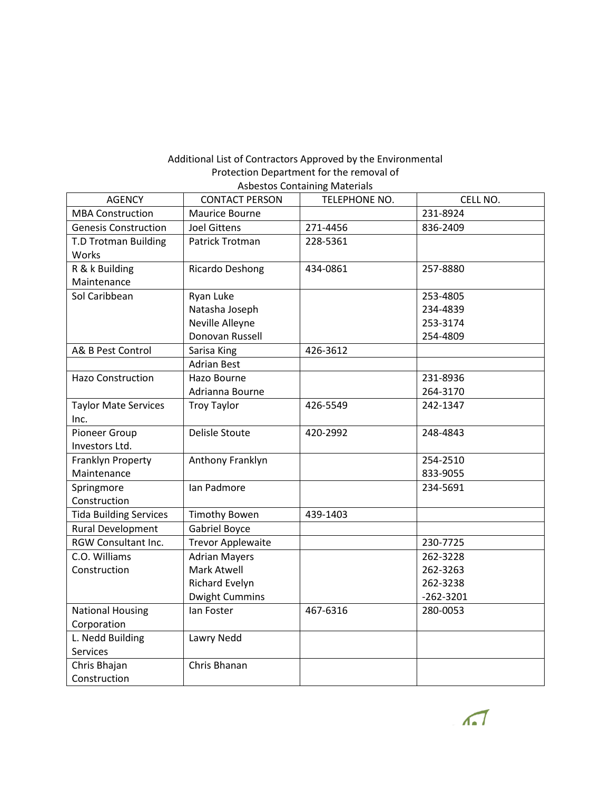## Additional List of Contractors Approved by the Environmental Protection Department for the removal of Asbestos Containing Materials

| <b>AGENCY</b>                 | <b>CONTACT PERSON</b>    | assestos contamina materiais<br>TELEPHONE NO. | CELL NO.      |
|-------------------------------|--------------------------|-----------------------------------------------|---------------|
| <b>MBA Construction</b>       | Maurice Bourne           |                                               | 231-8924      |
| <b>Genesis Construction</b>   | <b>Joel Gittens</b>      | 271-4456                                      | 836-2409      |
| T.D Trotman Building          | Patrick Trotman          | 228-5361                                      |               |
|                               |                          |                                               |               |
| Works                         |                          |                                               |               |
| R & k Building                | Ricardo Deshong          | 434-0861                                      | 257-8880      |
| Maintenance                   |                          |                                               |               |
| Sol Caribbean                 | Ryan Luke                |                                               | 253-4805      |
|                               | Natasha Joseph           |                                               | 234-4839      |
|                               | Neville Alleyne          |                                               | 253-3174      |
|                               | Donovan Russell          |                                               | 254-4809      |
| A& B Pest Control             | Sarisa King              | 426-3612                                      |               |
|                               | <b>Adrian Best</b>       |                                               |               |
| <b>Hazo Construction</b>      | Hazo Bourne              |                                               | 231-8936      |
|                               | Adrianna Bourne          |                                               | 264-3170      |
| <b>Taylor Mate Services</b>   | <b>Troy Taylor</b>       | 426-5549                                      | 242-1347      |
| Inc.                          |                          |                                               |               |
| Pioneer Group                 | <b>Delisle Stoute</b>    | 420-2992                                      | 248-4843      |
| Investors Ltd.                |                          |                                               |               |
| Franklyn Property             | Anthony Franklyn         |                                               | 254-2510      |
| Maintenance                   |                          |                                               | 833-9055      |
| Springmore                    | Ian Padmore              |                                               | 234-5691      |
| Construction                  |                          |                                               |               |
| <b>Tida Building Services</b> | <b>Timothy Bowen</b>     | 439-1403                                      |               |
| Rural Development             | <b>Gabriel Boyce</b>     |                                               |               |
| RGW Consultant Inc.           | <b>Trevor Applewaite</b> |                                               | 230-7725      |
| C.O. Williams                 | <b>Adrian Mayers</b>     |                                               | 262-3228      |
| Construction                  | Mark Atwell              |                                               | 262-3263      |
|                               | Richard Evelyn           |                                               | 262-3238      |
|                               | <b>Dwight Cummins</b>    |                                               | $-262 - 3201$ |
| <b>National Housing</b>       | lan Foster               | 467-6316                                      | 280-0053      |
| Corporation                   |                          |                                               |               |
| L. Nedd Building              | Lawry Nedd               |                                               |               |
| Services                      |                          |                                               |               |
|                               | Chris Bhanan             |                                               |               |
|                               |                          |                                               |               |
| Chris Bhajan<br>Construction  |                          |                                               |               |

 $\sqrt{2}$